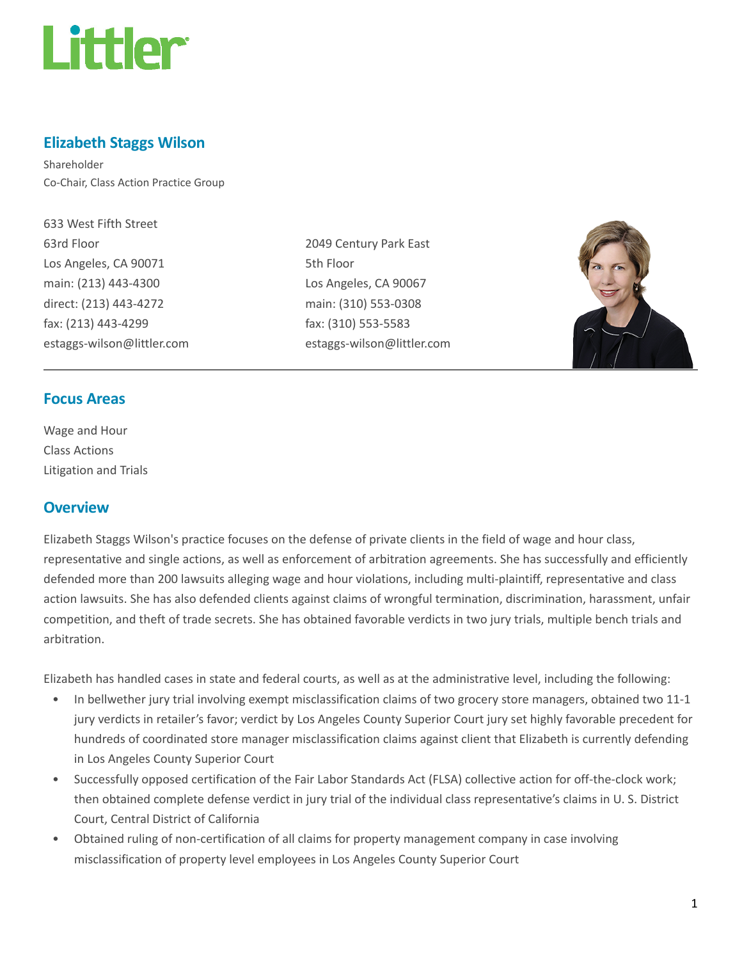

## Elizabeth Staggs Wilson

Shareholder Co-Chair, Class Action Practice Group

633 West Fifth Street 63rd Floor Los Angeles, CA 90071 main: (213) 443-4300 direct: (213) 443-4272 fax: (213) 443-4299 estaggs-wilson@littler.com

2049 Century Park East 5th Floor Los Angeles, CA 90067 main: (310) 553-0308 fax: (310) 553-5583 estaggs-wilson@littler.com



### Focus Areas

Wage and Hour Class Actions Litigation and Trials

#### **Overview**

Elizabeth Staggs Wilson's practice focuses on the defense of private clients in the field of wage and hour class, representative and single actions, as well as enforcement of arbitration agreements. She has successfully and efficiently defended more than 200 lawsuits alleging wage and hour violations, including multi-plaintiff, representative and class action lawsuits. She has also defended clients against claims of wrongful termination, discrimination, harassment, unfair competition, and theft of trade secrets. She has obtained favorable verdicts in two jury trials, multiple bench trials and arbitration.

Elizabeth has handled cases in state and federal courts, as well as at the administrative level, including the following:

- In bellwether jury trial involving exempt misclassification claims of two grocery store managers, obtained two 11-1 jury verdicts in retailer's favor; verdict by Los Angeles County Superior Court jury set highly favorable precedent for hundreds of coordinated store manager misclassification claims against client that Elizabeth is currently defending in Los Angeles County Superior Court
- Successfully opposed certification of the Fair Labor Standards Act (FLSA) collective action for off-the-clock work; then obtained complete defense verdict in jury trial of the individual class representative's claims in U. S. District Court, Central District of California
- Obtained ruling of non-certification of all claims for property management company in case involving misclassification of property level employees in Los Angeles County Superior Court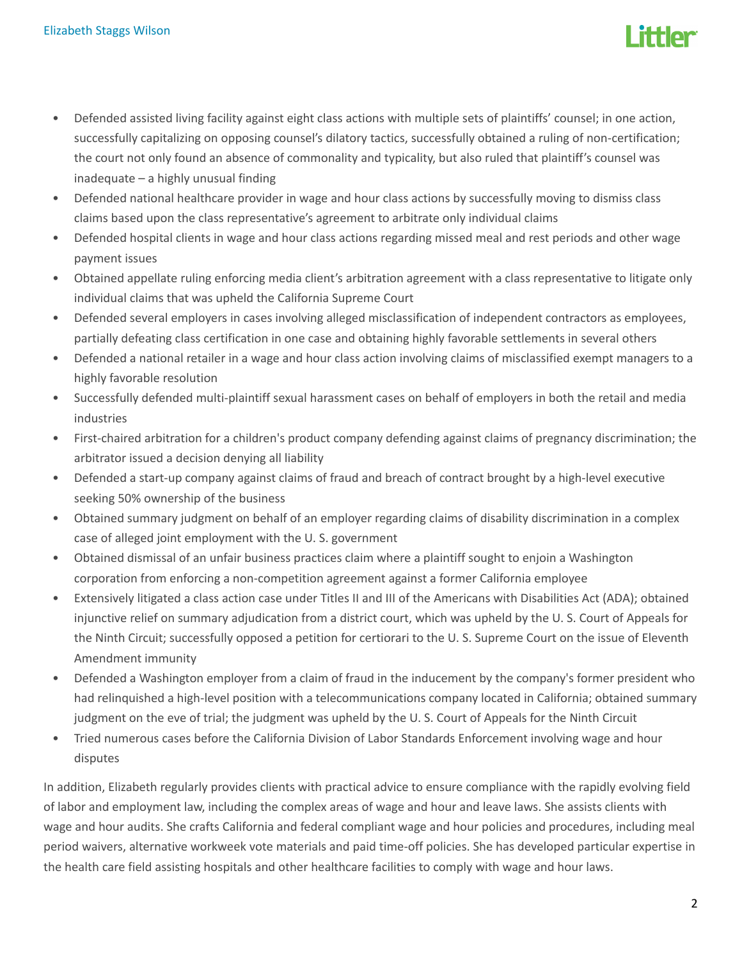

- Defended assisted living facility against eight class actions with multiple sets of plaintiffs' counsel; in one action, successfully capitalizing on opposing counsel's dilatory tactics, successfully obtained a ruling of non-certification; the court not only found an absence of commonality and typicality, but also ruled that plaintiff's counsel was inadequate – a highly unusual finding
- Defended national healthcare provider in wage and hour class actions by successfully moving to dismiss class claims based upon the class representative's agreement to arbitrate only individual claims
- Defended hospital clients in wage and hour class actions regarding missed meal and rest periods and other wage payment issues
- Obtained appellate ruling enforcing media client's arbitration agreement with a class representative to litigate only individual claims that was upheld the California Supreme Court
- Defended several employers in cases involving alleged misclassification of independent contractors as employees, partially defeating class certification in one case and obtaining highly favorable settlements in several others
- Defended a national retailer in a wage and hour class action involving claims of misclassified exempt managers to a highly favorable resolution
- Successfully defended multi-plaintiff sexual harassment cases on behalf of employers in both the retail and media industries
- First-chaired arbitration for a children's product company defending against claims of pregnancy discrimination; the arbitrator issued a decision denying all liability
- Defended a start-up company against claims of fraud and breach of contract brought by a high-level executive seeking 50% ownership of the business
- Obtained summary judgment on behalf of an employer regarding claims of disability discrimination in a complex case of alleged joint employment with the U. S. government
- Obtained dismissal of an unfair business practices claim where a plaintiff sought to enjoin a Washington corporation from enforcing a non-competition agreement against a former California employee
- Extensively litigated a class action case under Titles II and III of the Americans with Disabilities Act (ADA); obtained injunctive relief on summary adjudication from a district court, which was upheld by the U. S. Court of Appeals for the Ninth Circuit; successfully opposed a petition for certiorari to the U. S. Supreme Court on the issue of Eleventh Amendment immunity
- Defended a Washington employer from a claim of fraud in the inducement by the company's former president who had relinquished a high-level position with a telecommunications company located in California; obtained summary judgment on the eve of trial; the judgment was upheld by the U. S. Court of Appeals for the Ninth Circuit
- Tried numerous cases before the California Division of Labor Standards Enforcement involving wage and hour disputes

In addition, Elizabeth regularly provides clients with practical advice to ensure compliance with the rapidly evolving field of labor and employment law, including the complex areas of wage and hour and leave laws. She assists clients with wage and hour audits. She crafts California and federal compliant wage and hour policies and procedures, including meal period waivers, alternative workweek vote materials and paid time-off policies. She has developed particular expertise in the health care field assisting hospitals and other healthcare facilities to comply with wage and hour laws.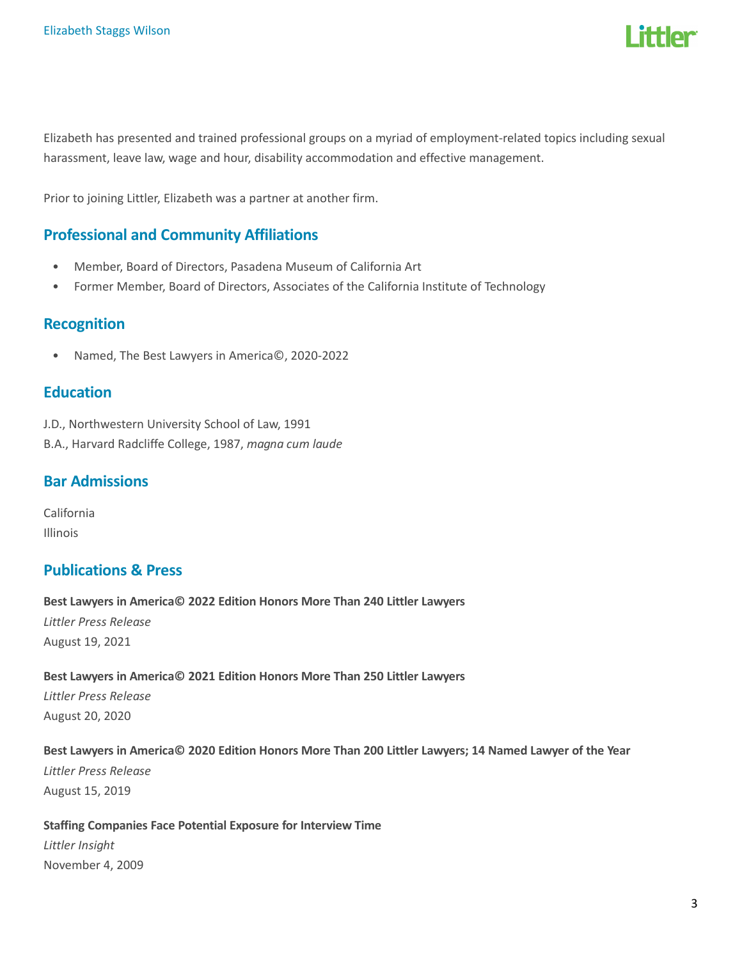

Elizabeth has presented and trained professional groups on a myriad of employment-related topics including sexual harassment, leave law, wage and hour, disability accommodation and effective management.

Prior to joining Littler, Elizabeth was a partner at another firm.

## Professional and Community Affiliations

- Member, Board of Directors, Pasadena Museum of California Art
- Former Member, Board of Directors, Associates of the California Institute of Technology

#### Recognition

• Named, The Best Lawyers in America©, 2020-2022

### **Education**

J.D., Northwestern University School of Law, 1991 B.A., Harvard Radcliffe College, 1987, magna cum laude

#### Bar Admissions

California Illinois

#### Publications & Press

Best Lawyers in America© 2022 Edition Honors More Than 240 Littler Lawyers Littler Press Release August 19, 2021

Best Lawyers in America© 2021 Edition Honors More Than 250 Littler Lawyers Littler Press Release August 20, 2020

# Best Lawyers in America© 2020 Edition Honors More Than 200 Littler Lawyers; 14 Named Lawyer of the Year

Littler Press Release August 15, 2019

#### Staffing Companies Face Potential Exposure for Interview Time

Littler Insight November 4, 2009